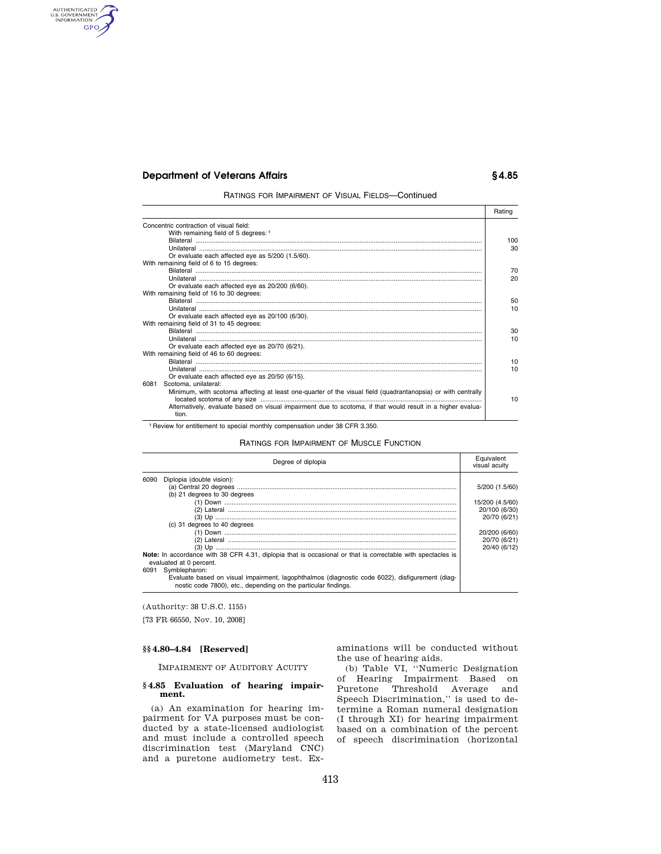# **Department of Veterans Affairs § 4.85**

AUTHENTICATED<br>U.S. GOVERNMENT<br>INFORMATION **GPO** 

RATINGS FOR IMPAIRMENT OF VISUAL FIELDS—Continued

|                                                                                                                      | Rating |
|----------------------------------------------------------------------------------------------------------------------|--------|
| Concentric contraction of visual field:                                                                              |        |
| With remaining field of 5 degrees: 1                                                                                 |        |
|                                                                                                                      | 100    |
|                                                                                                                      | 30     |
| Or evaluate each affected eye as 5/200 (1.5/60).                                                                     |        |
| With remaining field of 6 to 15 degrees:                                                                             |        |
|                                                                                                                      | 70     |
|                                                                                                                      | 20     |
| Or evaluate each affected eye as 20/200 (6/60).                                                                      |        |
| With remaining field of 16 to 30 degrees:                                                                            |        |
|                                                                                                                      | 50     |
|                                                                                                                      | 10     |
| Or evaluate each affected eye as 20/100 (6/30).                                                                      |        |
| With remaining field of 31 to 45 degrees:                                                                            |        |
|                                                                                                                      | 30     |
|                                                                                                                      | 10     |
| Or evaluate each affected eye as 20/70 (6/21).                                                                       |        |
| With remaining field of 46 to 60 degrees:                                                                            |        |
|                                                                                                                      | 10     |
|                                                                                                                      | 10     |
| Or evaluate each affected eye as 20/50 (6/15).                                                                       |        |
| Scotoma, unilateral:<br>6081                                                                                         |        |
| Minimum, with scotoma affecting at least one-quarter of the visual field (quadrantanopsia) or with centrally         | 10     |
| Alternatively, evaluate based on visual impairment due to scotoma, if that would result in a higher evalua-<br>tion. |        |
|                                                                                                                      |        |

1 Review for entitlement to special monthly compensation under 38 CFR 3.350.

RATINGS FOR IMPAIRMENT OF MUSCLE FUNCTION

| Equivalent<br>visual acuity |  |
|-----------------------------|--|
|                             |  |
| 5/200 (1.5/60)              |  |
|                             |  |
| 15/200 (4.5/60)             |  |
| 20/100 (6/30)               |  |
| 20/70 (6/21)                |  |
|                             |  |
| 20/200 (6/60)               |  |
| 20/70 (6/21)                |  |
| 20/40 (6/12)                |  |
|                             |  |
|                             |  |
|                             |  |
|                             |  |
|                             |  |

(Authority: 38 U.S.C. 1155)

[73 FR 66550, Nov. 10, 2008]

#### **§§ 4.80–4.84 [Reserved]**

IMPAIRMENT OF AUDITORY ACUITY

#### **§ 4.85 Evaluation of hearing impairment.**

(a) An examination for hearing impairment for VA purposes must be conducted by a state-licensed audiologist and must include a controlled speech discrimination test (Maryland CNC) and a puretone audiometry test. Examinations will be conducted without the use of hearing aids.

(b) Table VI, ''Numeric Designation of Hearing Impairment Based on Puretone Threshold Average and Speech Discrimination,'' is used to determine a Roman numeral designation (I through XI) for hearing impairment based on a combination of the percent of speech discrimination (horizontal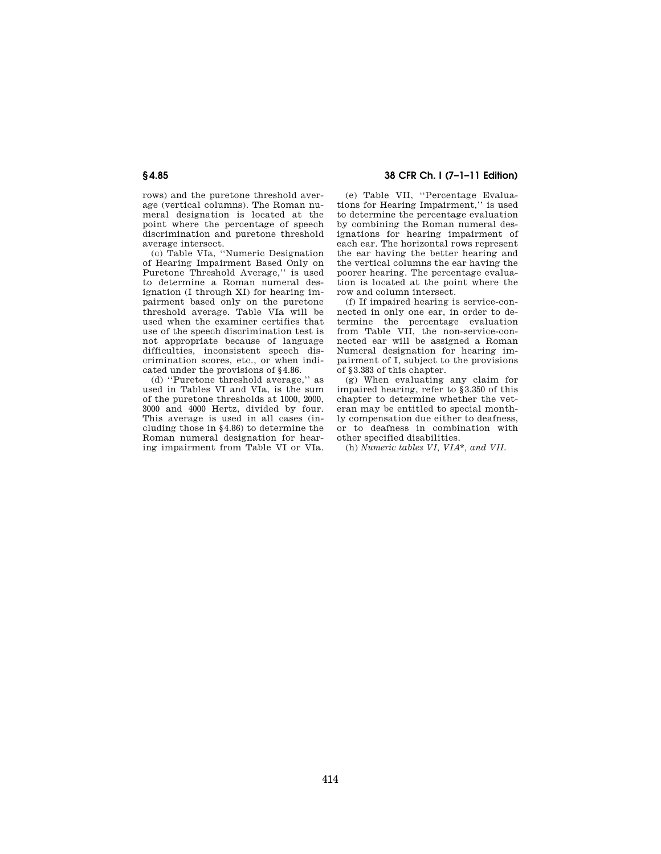rows) and the puretone threshold average (vertical columns). The Roman numeral designation is located at the point where the percentage of speech discrimination and puretone threshold average intersect.

(c) Table VIa, ''Numeric Designation of Hearing Impairment Based Only on Puretone Threshold Average,'' is used to determine a Roman numeral designation (I through XI) for hearing impairment based only on the puretone threshold average. Table VIa will be used when the examiner certifies that use of the speech discrimination test is not appropriate because of language difficulties, inconsistent speech discrimination scores, etc., or when indicated under the provisions of §4.86.

(d) ''Puretone threshold average,'' as used in Tables VI and VIa, is the sum of the puretone thresholds at 1000, 2000, 3000 and 4000 Hertz, divided by four. This average is used in all cases (including those in §4.86) to determine the Roman numeral designation for hearing impairment from Table VI or VIa.

### **§ 4.85 38 CFR Ch. I (7–1–11 Edition)**

(e) Table VII, ''Percentage Evaluations for Hearing Impairment,'' is used to determine the percentage evaluation by combining the Roman numeral designations for hearing impairment of each ear. The horizontal rows represent the ear having the better hearing and the vertical columns the ear having the poorer hearing. The percentage evaluation is located at the point where the row and column intersect.

(f) If impaired hearing is service-connected in only one ear, in order to determine the percentage evaluation from Table VII, the non-service-connected ear will be assigned a Roman Numeral designation for hearing impairment of I, subject to the provisions of §3.383 of this chapter.

(g) When evaluating any claim for impaired hearing, refer to §3.350 of this chapter to determine whether the veteran may be entitled to special monthly compensation due either to deafness, or to deafness in combination with other specified disabilities.

(h) *Numeric tables VI, VIA\*, and VII.*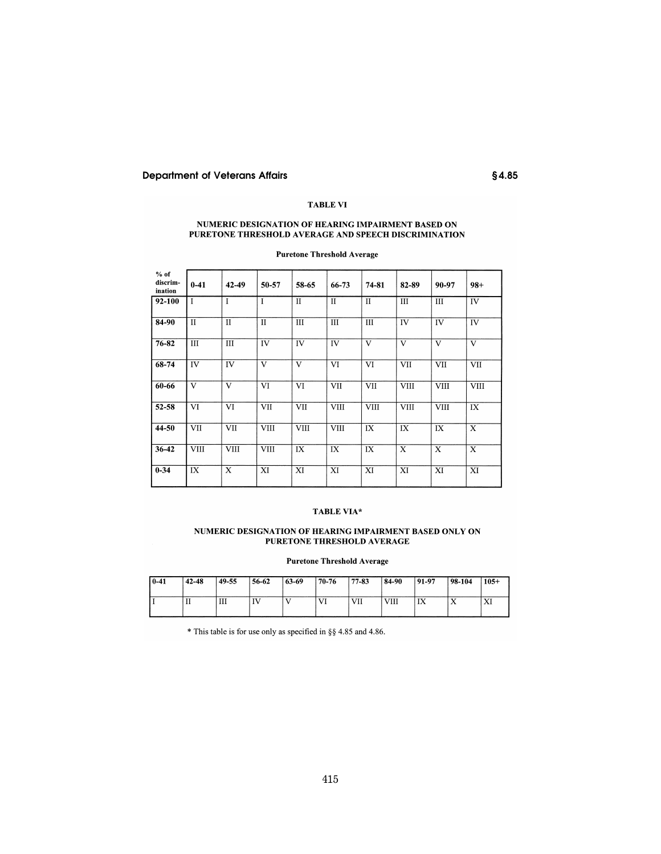# **Department of Veterans Affairs**

# **TABLE VI**

 $$4.85$ 

# NUMERIC DESIGNATION OF HEARING IMPAIRMENT BASED ON PURETONE THRESHOLD AVERAGE AND SPEECH DISCRIMINATION

| $%$ of<br>discrim-<br>ination | $0 - 41$     | 42-49        | 50-57        | 58-65        | 66-73        | 74-81        | 82-89          | 90-97       | $98+$       |
|-------------------------------|--------------|--------------|--------------|--------------|--------------|--------------|----------------|-------------|-------------|
| 92-100                        | $\mathbf{I}$ | $\mathbf I$  | $\mathbf I$  | $\mathbf{I}$ | $\mathbf{I}$ | $\mathbf{I}$ | $\mathbf{III}$ | Ш           | IV          |
| 84-90                         | $\mathbf{I}$ | $\mathbf{I}$ | $\mathbf{I}$ | Ш            | III          | III          | IV             | IV          | IV          |
| 76-82                         | III          | III          | IV           | IV           | IV           | V            | V              | V           | V           |
| 68-74                         | IV           | IV           | V            | V            | VI           | VI           | VII            | VII         | VII         |
| 60-66                         | V            | V            | VI           | VI           | VII          | <b>VII</b>   | <b>VIII</b>    | VIII        | <b>VIII</b> |
| 52-58                         | VI           | VI           | <b>VII</b>   | <b>VII</b>   | <b>VIII</b>  | <b>VIII</b>  | <b>VIII</b>    | <b>VIII</b> | IX          |
| 44-50                         | VII          | VII          | <b>VIII</b>  | <b>VIII</b>  | <b>VIII</b>  | IX           | IX             | IX          | X           |
| $36 - 42$                     | <b>VIII</b>  | <b>VIII</b>  | <b>VIII</b>  | IX           | IX           | IX           | X              | X           | X           |
| $0 - 34$                      | IX           | X            | XI           | XI           | XI           | XI           | XI             | XI          | XI          |

**Puretone Threshold Average** 

# TABLE VIA\*

### NUMERIC DESIGNATION OF HEARING IMPAIRMENT BASED ONLY ON PURETONE THRESHOLD AVERAGE

#### **Puretone Threshold Average**

| $0-41$ | 42-48 | 149.55 | 56-62 | $ 63-69$ | $170 - 76$ | 77-83 | 84-90 | 91-97 | 98-104    | $105+$ |
|--------|-------|--------|-------|----------|------------|-------|-------|-------|-----------|--------|
|        | п     | Ш      | IV    |          | VI         | VII   | VIII  | 177   | $\Lambda$ | AI     |

\* This table is for use only as specified in §§ 4.85 and 4.86.